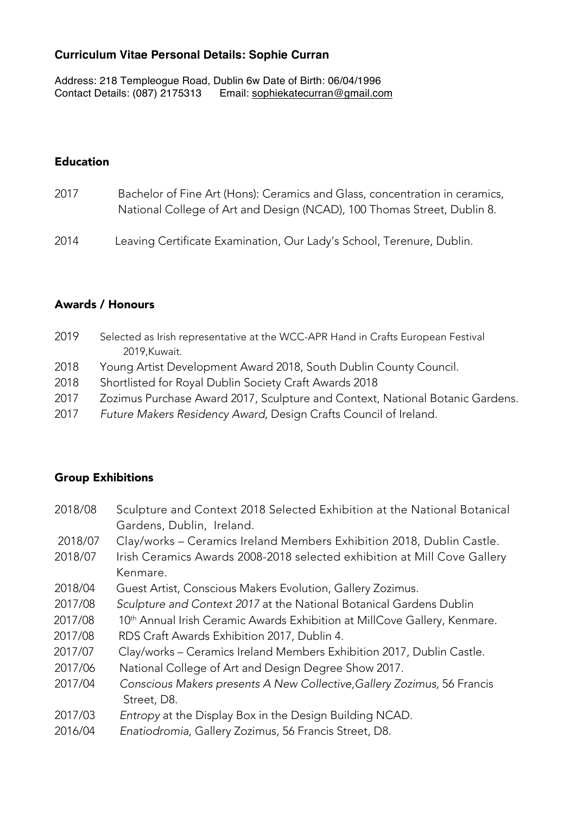## **Curriculum Vitae Personal Details: Sophie Curran**

Address: 218 Templeogue Road, Dublin 6w Date of Birth: 06/04/1996 Contact Details: (087) 2175313 Email: sophiekatecurran@gmail.com

## Education

- 2017 Bachelor of Fine Art (Hons): Ceramics and Glass, concentration in ceramics, National College of Art and Design (NCAD), 100 Thomas Street, Dublin 8.
- 2014 Leaving Certificate Examination, Our Lady's School, Terenure, Dublin.

## Awards / Honours

- 2019 Selected as Irish representative at the WCC-APR Hand in Crafts European Festival 2019,Kuwait.
- 2018 Young Artist Development Award 2018, South Dublin County Council.
- 2018 Shortlisted for Royal Dublin Society Craft Awards 2018
- 2017 Zozimus Purchase Award 2017, Sculpture and Context, National Botanic Gardens.
- 2017 *Future Makers Residency Award,* Design Crafts Council of Ireland.

## Group Exhibitions

- 2018/08 Sculpture and Context 2018 Selected Exhibition at the National Botanical Gardens, Dublin, Ireland.
- 2018/07 Clay/works Ceramics Ireland Members Exhibition 2018, Dublin Castle.
- 2018/07 Irish Ceramics Awards 2008-2018 selected exhibition at Mill Cove Gallery Kenmare.
- 2018/04 Guest Artist, Conscious Makers Evolution, Gallery Zozimus.
- 2017/08 *Sculpture and Context 2017* at the National Botanical Gardens Dublin
- 2017/08 10<sup>th</sup> Annual Irish Ceramic Awards Exhibition at MillCove Gallery, Kenmare.
- 2017/08 RDS Craft Awards Exhibition 2017, Dublin 4.
- 2017/07 Clay/works Ceramics Ireland Members Exhibition 2017, Dublin Castle.
- 2017/06 National College of Art and Design Degree Show 2017.
- 2017/04 *Conscious Makers presents A New Collective,Gallery Zozimus,* 56 Francis Street, D8.
- 2017/03 *Entropy* at the Display Box in the Design Building NCAD.
- 2016/04 *Enatiodromia*, Gallery Zozimus, 56 Francis Street, D8.